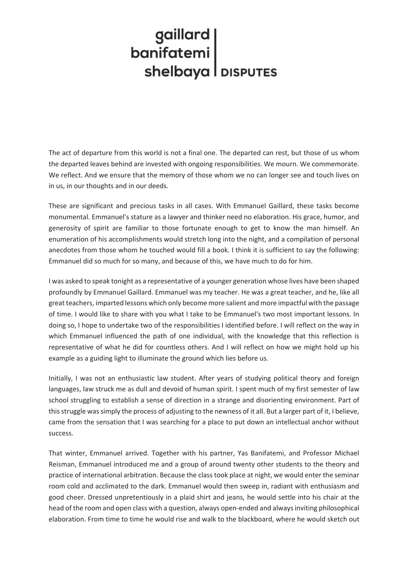## | gaillard<br>| banifatemi shelbaya | DISPUTES

The act of departure from this world is not a final one. The departed can rest, but those of us whom the departed leaves behind are invested with ongoing responsibilities. We mourn. We commemorate. We reflect. And we ensure that the memory of those whom we no can longer see and touch lives on in us, in our thoughts and in our deeds.

These are significant and precious tasks in all cases. With Emmanuel Gaillard, these tasks become monumental. Emmanuel's stature as a lawyer and thinker need no elaboration. His grace, humor, and generosity of spirit are familiar to those fortunate enough to get to know the man himself. An enumeration of his accomplishments would stretch long into the night, and a compilation of personal anecdotes from those whom he touched would fill a book. I think it is sufficient to say the following: Emmanuel did so much for so many, and because of this, we have much to do for him.

I was asked to speak tonight as a representative of a younger generation whose lives have been shaped profoundly by Emmanuel Gaillard. Emmanuel was my teacher. He was a great teacher, and he, like all great teachers, imparted lessons which only become more salient and more impactful with the passage of time. I would like to share with you what I take to be Emmanuel's two most important lessons. In doing so, I hope to undertake two of the responsibilities I identified before. I will reflect on the way in which Emmanuel influenced the path of one individual, with the knowledge that this reflection is representative of what he did for countless others. And I will reflect on how we might hold up his example as a guiding light to illuminate the ground which lies before us.

Initially, I was not an enthusiastic law student. After years of studying political theory and foreign languages, law struck me as dull and devoid of human spirit. I spent much of my first semester of law school struggling to establish a sense of direction in a strange and disorienting environment. Part of this struggle was simply the process of adjusting to the newness of it all. But a larger part of it, I believe, came from the sensation that I was searching for a place to put down an intellectual anchor without success.

That winter, Emmanuel arrived. Together with his partner, Yas Banifatemi, and Professor Michael Reisman, Emmanuel introduced me and a group of around twenty other students to the theory and practice of international arbitration. Because the class took place at night, we would enter the seminar room cold and acclimated to the dark. Emmanuel would then sweep in, radiant with enthusiasm and good cheer. Dressed unpretentiously in a plaid shirt and jeans, he would settle into his chair at the head of the room and open class with a question, always open-ended and always inviting philosophical elaboration. From time to time he would rise and walk to the blackboard, where he would sketch out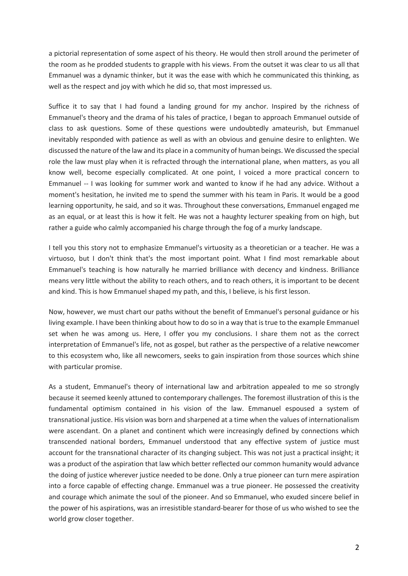a pictorial representation of some aspect of his theory. He would then stroll around the perimeter of the room as he prodded students to grapple with his views. From the outset it was clear to us all that Emmanuel was a dynamic thinker, but it was the ease with which he communicated this thinking, as well as the respect and joy with which he did so, that most impressed us.

Suffice it to say that I had found a landing ground for my anchor. Inspired by the richness of Emmanuel's theory and the drama of his tales of practice, I began to approach Emmanuel outside of class to ask questions. Some of these questions were undoubtedly amateurish, but Emmanuel inevitably responded with patience as well as with an obvious and genuine desire to enlighten. We discussed the nature of the law and its place in a community of human beings. We discussed the special role the law must play when it is refracted through the international plane, when matters, as you all know well, become especially complicated. At one point, I voiced a more practical concern to Emmanuel -- I was looking for summer work and wanted to know if he had any advice. Without a moment's hesitation, he invited me to spend the summer with his team in Paris. It would be a good learning opportunity, he said, and so it was. Throughout these conversations, Emmanuel engaged me as an equal, or at least this is how it felt. He was not a haughty lecturer speaking from on high, but rather a guide who calmly accompanied his charge through the fog of a murky landscape.

I tell you this story not to emphasize Emmanuel's virtuosity as a theoretician or a teacher. He was a virtuoso, but I don't think that's the most important point. What I find most remarkable about Emmanuel's teaching is how naturally he married brilliance with decency and kindness. Brilliance means very little without the ability to reach others, and to reach others, it is important to be decent and kind. This is how Emmanuel shaped my path, and this, I believe, is his first lesson.

Now, however, we must chart our paths without the benefit of Emmanuel's personal guidance or his living example. I have been thinking about how to do so in a way that istrue to the example Emmanuel set when he was among us. Here, I offer you my conclusions. I share them not as the correct interpretation of Emmanuel's life, not as gospel, but rather as the perspective of a relative newcomer to this ecosystem who, like all newcomers, seeks to gain inspiration from those sources which shine with particular promise.

As a student, Emmanuel's theory of international law and arbitration appealed to me so strongly because it seemed keenly attuned to contemporary challenges. The foremost illustration of this is the fundamental optimism contained in his vision of the law. Emmanuel espoused a system of transnational justice. His vision was born and sharpened at a time when the values of internationalism were ascendant. On a planet and continent which were increasingly defined by connections which transcended national borders, Emmanuel understood that any effective system of justice must account for the transnational character of its changing subject. This was not just a practical insight; it was a product of the aspiration that law which better reflected our common humanity would advance the doing of justice wherever justice needed to be done. Only a true pioneer can turn mere aspiration into a force capable of effecting change. Emmanuel was a true pioneer. He possessed the creativity and courage which animate the soul of the pioneer. And so Emmanuel, who exuded sincere belief in the power of his aspirations, was an irresistible standard-bearer for those of us who wished to see the world grow closer together.